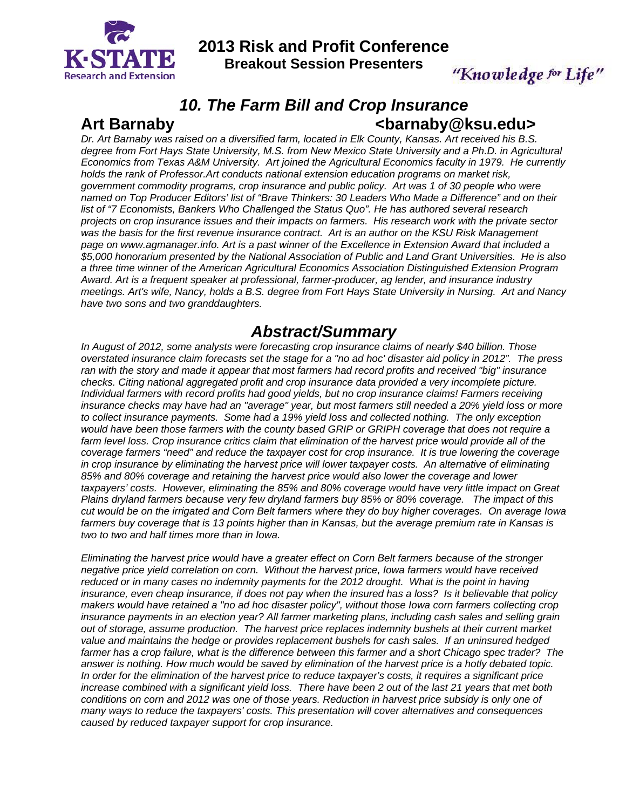

**2013 Risk and Profit Conference** 

**Breakout Session Presenters** 

"Knowledge for Life"

# *10. The Farm Bill and Crop Insurance*  Art Barnaby **Contract Contract Art Barnaby Contract Contract Contract Contract Contract Contract Contract Contract Contract Contract Contract Contract Contract Contract Contract Contract Contract Contract Contract Contract**

*Dr. Art Barnaby was raised on a diversified farm, located in Elk County, Kansas. Art received his B.S. degree from Fort Hays State University, M.S. from New Mexico State University and a Ph.D. in Agricultural Economics from Texas A&M University. Art joined the Agricultural Economics faculty in 1979. He currently holds the rank of Professor.Art conducts national extension education programs on market risk, government commodity programs, crop insurance and public policy. Art was 1 of 30 people who were named on Top Producer Editors' list of "Brave Thinkers: 30 Leaders Who Made a Difference" and on their list of "7 Economists, Bankers Who Challenged the Status Quo". He has authored several research projects on crop insurance issues and their impacts on farmers. His research work with the private sector was the basis for the first revenue insurance contract. Art is an author on the KSU Risk Management page on www.agmanager.info. Art is a past winner of the Excellence in Extension Award that included a \$5,000 honorarium presented by the National Association of Public and Land Grant Universities. He is also a three time winner of the American Agricultural Economics Association Distinguished Extension Program Award. Art is a frequent speaker at professional, farmer-producer, ag lender, and insurance industry meetings. Art's wife, Nancy, holds a B.S. degree from Fort Hays State University in Nursing. Art and Nancy have two sons and two granddaughters.* 

# *Abstract/Summary*

*In August of 2012, some analysts were forecasting crop insurance claims of nearly \$40 billion. Those overstated insurance claim forecasts set the stage for a "no ad hoc' disaster aid policy in 2012". The press ran with the story and made it appear that most farmers had record profits and received "big" insurance checks. Citing national aggregated profit and crop insurance data provided a very incomplete picture. Individual farmers with record profits had good yields, but no crop insurance claims! Farmers receiving insurance checks may have had an "average" year, but most farmers still needed a 20% yield loss or more to collect insurance payments. Some had a 19% yield loss and collected nothing. The only exception would have been those farmers with the county based GRIP or GRIPH coverage that does not require a*  farm level loss. Crop insurance critics claim that elimination of the harvest price would provide all of the *coverage farmers "need" and reduce the taxpayer cost for crop insurance. It is true lowering the coverage in crop insurance by eliminating the harvest price will lower taxpayer costs. An alternative of eliminating 85% and 80% coverage and retaining the harvest price would also lower the coverage and lower*  taxpayers' costs. However, eliminating the 85% and 80% coverage would have very little impact on Great *Plains dryland farmers because very few dryland farmers buy 85% or 80% coverage. The impact of this cut would be on the irrigated and Corn Belt farmers where they do buy higher coverages. On average Iowa farmers buy coverage that is 13 points higher than in Kansas, but the average premium rate in Kansas is two to two and half times more than in Iowa.* 

*Eliminating the harvest price would have a greater effect on Corn Belt farmers because of the stronger negative price yield correlation on corn. Without the harvest price, Iowa farmers would have received*  reduced or in many cases no indemnity payments for the 2012 drought. What is the point in having *insurance, even cheap insurance, if does not pay when the insured has a loss? Is it believable that policy makers would have retained a "no ad hoc disaster policy", without those Iowa corn farmers collecting crop insurance payments in an election year? All farmer marketing plans, including cash sales and selling grain out of storage, assume production. The harvest price replaces indemnity bushels at their current market value and maintains the hedge or provides replacement bushels for cash sales. If an uninsured hedged farmer has a crop failure, what is the difference between this farmer and a short Chicago spec trader? The answer is nothing. How much would be saved by elimination of the harvest price is a hotly debated topic. In order for the elimination of the harvest price to reduce taxpayer's costs, it requires a significant price increase combined with a significant yield loss. There have been 2 out of the last 21 years that met both conditions on corn and 2012 was one of those years. Reduction in harvest price subsidy is only one of many ways to reduce the taxpayers' costs. This presentation will cover alternatives and consequences caused by reduced taxpayer support for crop insurance.*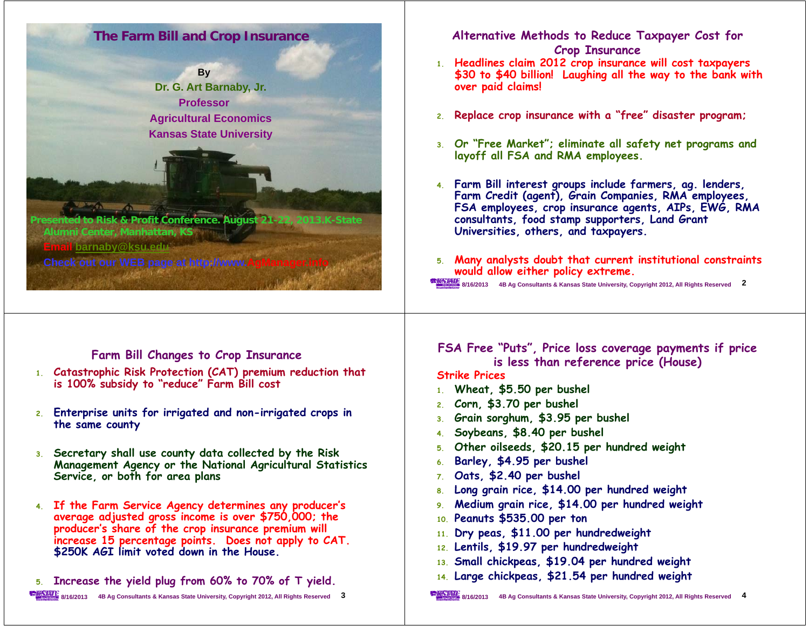# **The Farm Bill and Crop Insurance**



**Alumni Center, Manhattan, KS Email barnaby@ksu.edu y@**

**Check out our WEB page at http://www.** 

**8/16/2013**

#### **Alternative Methods to Reduce Taxpayer Cost for Crop Insurance**

- **1 Headlines claim 2012 crop insurance will cost taxpayers . \$30 to \$40 billion! Laughing all the way to the bank with over paid claims!**
- **2.Replace crop insurance with a "free" disaster program;**
- **3. Or "Free Market"; eliminate all safety net programs and layoff all FSA and RMA employees.**
- **4. Farm Bill interest groups include farmers, ag. lenders, Farm Credit (agent), Grain Companies, RMA employees, FSA empy p g loyees, crop insurance agents, AIPs, EWG, RMA consultants, food stamp supporters, Land Grant Universities, others, and taxpayers.**
- **5. Many analysts doubt that current institutional constraints would allow either policy extreme.**

**8/16/2013 4B Ag Consultants & Kansas State University, Copyright 2012, All Rights Reserved 2**

# **Farm Bill Changes to Crop Insurance**

**4B Ag Consultants & Kansas State University, Copyright 2012, All Rights Reserved 1**

- **1 Catastrophic Risk Protection (CAT) premium reduction that . is 100% subsidy to "reduce" Farm Bill cost**
- **2. Enterprise units for irrigated and non-irrigated crops in the same county**
- 3. Secretary shall use county data collected by the Risk **Management Agency or the National Agricultural Statistics Service, or both for area plans**
- 4. If the Farm Service Agency determines any producer's average adjusted gross income is over \$750,000; the **prod ' h f th <sup>i</sup> <sup>i</sup> ill ducer's share of the crop insurance premium will increase 15 percentage points. Does not apply to CAT. \$250K AGI limit voted down in the House.**
- **5. Increase the yield plug from 60% to 70% of T yield.**

#### **8/16/2013 4B Ag Consultants & Kansas State University, Copyright 2012, All Rights Reserved 3**

## **FSA Free "Puts", Price loss coverage payments if price is less than reference price (House)**

**Strike Prices**

- **1. Wheat, \$5.50 per bushel**
- **2. Corn, \$3.70 per bushel**
- **3. Grain sorghum, \$3.95 per bushel**
- **4.Soybeans, \$8.40 per bushel**
- **5.Other oilseeds \$20.15 per hundred weight oilseeds,**
- **6.Barley, \$4.95 per bushel**
- **7.Oats, \$2.40 per bushel**
- 8. Long grain rice, \$14.00 per hundred weight
- **9. Medium grain rice, \$14.00 per hundred weight**
- **10. Peanuts \$535.00 per ton**
- **11. Dry peas, \$11.00 per hundredweight**
- **12. Lentils, \$19.97 per hundredweight**
- **13 Small chickpeas \$19 04 per hundred weight 13.**
- **chickpeas, \$19.04 14. Large chickpeas, \$21.54 per hundred weight**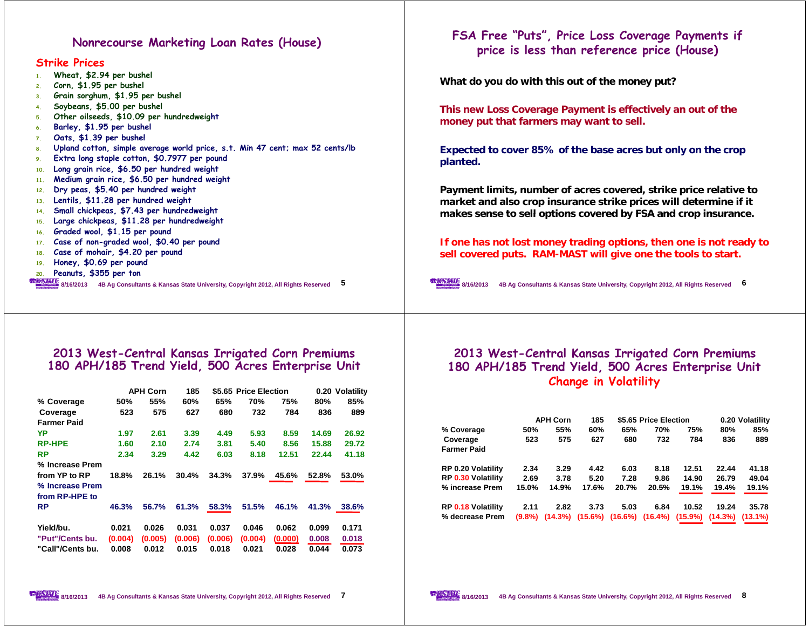#### **Nonrecourse Marketing Loan Rates (House)**

**Strike Prices**

| 1 <sub>1</sub>  | Wheat, \$2.94 per bushel                                                                                            |
|-----------------|---------------------------------------------------------------------------------------------------------------------|
| 2.              | Corn, \$1.95 per bushel                                                                                             |
| 3 <sub>1</sub>  | Grain sorghum, \$1.95 per bushel                                                                                    |
| 4 <sup>1</sup>  | Soybeans, \$5.00 per bushel                                                                                         |
| 5.              | Other oilseeds, \$10.09 per hundredweight                                                                           |
| 6.              | Barley, \$1.95 per bushel                                                                                           |
| 7.              | Oats, \$1.39 per bushel                                                                                             |
| 8.              | Upland cotton, simple average world price, s.t. Min 47 cent; max 52 cents/lb                                        |
| 9.              | Extra long staple cotton, \$0.7977 per pound                                                                        |
| 10 <sub>1</sub> | Long grain rice, \$6.50 per hundred weight                                                                          |
| 11 <sup>1</sup> | Medium grain rice, \$6.50 per hundred weight                                                                        |
| 12.             | Dry peas, \$5.40 per hundred weight                                                                                 |
| 13.             | Lentils, \$11.28 per hundred weight                                                                                 |
| 14.             | Small chickpeas, \$7.43 per hundredweight                                                                           |
| 15.             | Large chickpeas, \$11.28 per hundredweight                                                                          |
| 16.             | Graded wool, \$1.15 per pound                                                                                       |
| 17.             | Case of non-graded wool, \$0.40 per pound                                                                           |
| 18.             | Case of mohair, \$4.20 per pound                                                                                    |
| 19.             | Honey, \$0.69 per pound                                                                                             |
| 20.             | Peanuts, \$355 per ton                                                                                              |
|                 | <b>REACTANT:</b> 8/16/2013<br>5<br>4B Ag Consultants & Kansas State University, Copyright 2012, All Rights Reserved |
|                 |                                                                                                                     |

## **FSA Free "Puts", Price Loss Coverage Payments if price is less than reference price (House)**

**What do you do with this out of the money put?**

**This new Loss Coverage Payment is effectively an out of the money put that farmers may want to sell.**

**Expected to cover 85% of the base acres but only on the crop planted.**

**Payment limits, number of acres covered, strike price relative to market and also crop insurance strike prices will determine if it**  makes sense to sell options covered by FSA and crop insurance.

**If one has not lost money trading options, then one is not ready to**  sell covered puts. RAM-MAST will give one the tools to start.

**8/16/2013 4B Ag Consultants & Kansas State University, Copyright 2012, All Rights Reserved 6**

# **2013 West-Central Kansas Irrigated Corn Premiums 180 APH/185 Trend Yield, 500 Acres Enterprise Unit**

|                    | <b>APH Corn</b> |         | 185     |         | \$5.65 Price Election |         |       | 0.20 Volatility |
|--------------------|-----------------|---------|---------|---------|-----------------------|---------|-------|-----------------|
| % Coverage         | 50%             | 55%     | 60%     | 65%     | 70%                   | 75%     | 80%   | 85%             |
| Coverage           | 523             | 575     | 627     | 680     | 732                   | 784     | 836   | 889             |
| <b>Farmer Paid</b> |                 |         |         |         |                       |         |       |                 |
| YP                 | 1.97            | 2.61    | 3.39    | 4.49    | 5.93                  | 8.59    | 14.69 | 26.92           |
| <b>RP-HPE</b>      | 1.60            | 2.10    | 2.74    | 3.81    | 5.40                  | 8.56    | 15.88 | 29.72           |
| RP                 | 2.34            | 3.29    | 4.42    | 6.03    | 8.18                  | 12.51   | 22.44 | 41.18           |
| % Increase Prem    |                 |         |         |         |                       |         |       |                 |
| from YP to RP      | 18.8%           | 26.1%   | 30.4%   | 34.3%   | 37.9%                 | 45.6%   | 52.8% | 53.0%           |
| % Increase Prem    |                 |         |         |         |                       |         |       |                 |
| from RP-HPE to     |                 |         |         |         |                       |         |       |                 |
| RP                 | 46.3%           | 56.7%   | 61.3%   | 58.3%   | 51.5%                 | 46.1%   | 41.3% | 38.6%           |
|                    |                 |         |         |         |                       |         |       |                 |
| Yield/bu.          | 0.021           | 0.026   | 0.031   | 0.037   | 0.046                 | 0.062   | 0.099 | 0.171           |
| "Put"/Cents bu.    | (0.004)         | (0.005) | (0.006) | (0.006) | (0.004)               | (0.000) | 0.008 | 0.018           |
| "Call"/Cents bu.   | 0.008           | 0.012   | 0.015   | 0.018   | 0.021                 | 0.028   | 0.044 | 0.073           |

### **2013 West-Central Kansas Irrigated Corn Premiums 180 APH/185 Trend Yield, 500 Acres Enterprise Unit Change in Volatility**

|                                |           | <b>APH Corn</b> | 185        |         | \$5.65 Price Election |            |         | 0.20 Volatility |
|--------------------------------|-----------|-----------------|------------|---------|-----------------------|------------|---------|-----------------|
| % Coverage                     | 50%       | 55%             | 60%        | 65%     | 70%                   | 75%        | 80%     | 85%             |
| Coverage<br><b>Farmer Paid</b> | 523       | 575             | 627        | 680     | 732                   | 784        | 836     | 889             |
| <b>RP 0.20 Volatility</b>      | 2.34      | 3.29            | 4.42       | 6.03    | 8.18                  | 12.51      | 22.44   | 41.18           |
| <b>RP 0.30 Volatility</b>      | 2.69      | 3.78            | 5.20       | 7.28    | 9.86                  | 14.90      | 26.79   | 49.04           |
| % increase Prem                | 15.0%     | 14.9%           | 17.6%      | 20.7%   | 20.5%                 | 19.1%      | 19.4%   | 19.1%           |
| <b>RP 0.18 Volatility</b>      | 2.11      | 2.82            | 3.73       | 5.03    | 6.84                  | 10.52      | 19.24   | 35.78           |
| % decrease Prem                | $(9.8\%)$ | $(14.3\%)$      | $(15.6\%)$ | (16.6%) | $(16.4\%)$            | $(15.9\%)$ | (14.3%) | $(13.1\%)$      |

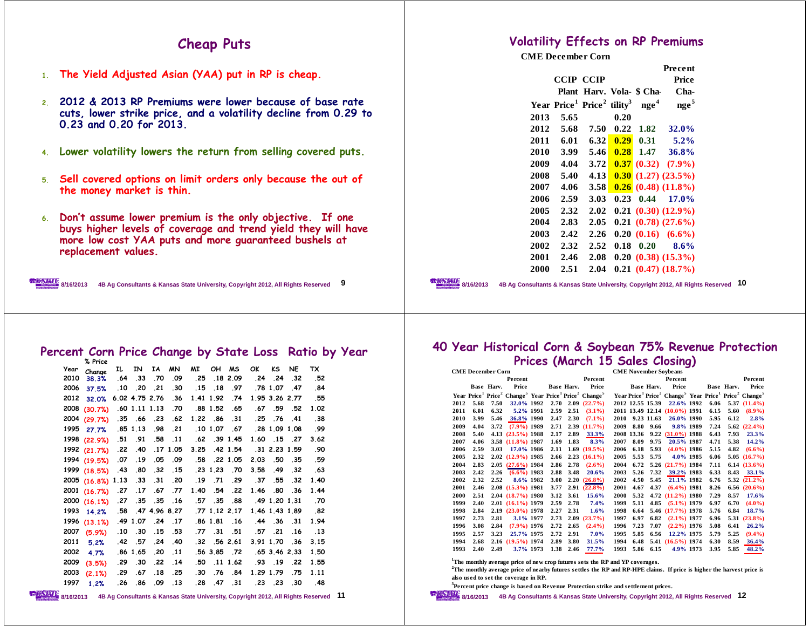### **Cheap Puts**

- **1. The Yield Adjusted Asian (YAA) put in RP is cheap.**
- **2. 2012 & 2013 RP P i l b f b t Premiums were lower because of base rate cuts, lower strike price, and a volatility decline from 0.29 to 0.23 and 0.20 for 2013.**
- **4.Lower volatility lowers the return from selling covered puts.**
- **5. <sup>S</sup> ll d ti li it d l b th t f Sell covered options on limit orders only because the out of the money market is thin.**
- **6.**Don't assume lower premium is the only objective. If one **buys higher levels of coverage and trend yield they will have more low cost YAA puts and more guaranteed bushels at replacement values .**



**8/16/20134B Ag Consultants & Kansas State University, Copyright 2012, All Rights Reserved 9**

#### **Percent Corn Price Change by State Loss Ratio by Year**

**Year IL IN IA MN MI OH MS OK KS NE TX Change** 52 **% Price 2010 38.3% .64 .33 .70 .09 .25 .18 2.09 .24 .24 .32 .52** 84. 47. 10.1 78. 77. 18. 15. 30. 20. 20. 10. 18. 17.5% **2012 32.0% 6.02 4.75 2.76 .36 1.41 1.92 .74 1.95 3.26 2.77 .55 2008 (30.7%) .60 1.11 1.13 .70 .88 1.52 .65 .67 .59 .52 1.02** 38. 41 76. 41 38 1.22 .86 31 1.22 A*t 1.22 .86 (<mark>29.7%) 2004 (29.7%) 35 .66 .</mark>* 99. 1.08 1.08 1.03 1.07 1.07 1.07 1.08 1.08 1.08 1.08 1.09 1998 (22.9%) .51 .91 .58 .11 **(22.9%) .51 .91 .58 .<sup>11</sup> .62 .39 1.45 1.60 .15 .27 3.62** 90. 159 1.59 1.81 1.84 1.84 1.92 1.91 1.05 1.54 1.54 (1.7%) 1992 59. 35. 50. 2.03 2.05 2.05. 58. 09 05. 19. 19. (1<mark>9.5%) 1994</mark> **1999 (18.5%) .43 .80 .32 .15 .23 1.23 .70 3.58 .49 .32 .63** 1.40 20 .55 .55 .37 .31 .20 .07 .31 .29 .37 .37 .32 .40 **2001 (16.7%) .27 .17 .67 .77 1.40 .54 .<sup>22</sup> 1.46 .80 .36 1.44 2000 (16.1%) .27 .35 .35 .16 .57 .35 .88 .49 1.20 1.31 .70 1993 14.2% .58 .47 4.96 8.27 .77 1.12 2.17 1.46 1.43 1.89 .82** 194. 31. 34 . 16 . 44 . 36 . 31 . 194. 16 . 17 . 186 1. 81 . 194. 194. 1996 **2007**.13 .16 .53 .77 .31 .51 .57 .21 .16 **2011 5.2% .42 .57 .24 .40 .32 .56 2.61 3.91 1.70 .36 3.15 2002 4.7% .86 1.65 .20 .11 .56 3.85 .72 .65 3.46 2.33 1.50 2009 (3 5%) 29 30 <sup>22</sup> 14 50 <sup>11</sup> <sup>1</sup> 62 93 19 <sup>22</sup> <sup>1</sup> 55** 1.55 22. 29. 29. 29. 21. 11. 21. 22. 29. 29. (%3. 29. 29. 29. 29.<br>1.11 1.79 1.79. 29. 29. 29. 29. 29. 29. 29. 29. 29. 29. 29. 29. **1997 1.2%.26 .86 .09 .13 .28 .47 .31 .23 .23 .30 .48**

#### **Volatility Effects on RP Premiums**

**CME December Corn**

|      |                                                                                 |             |      |                          | Precent                    |
|------|---------------------------------------------------------------------------------|-------------|------|--------------------------|----------------------------|
|      | <b>CCIP CCIP</b>                                                                |             |      |                          | Price                      |
|      |                                                                                 |             |      | Plant Harv. Vola- \$ Cha | Cha-                       |
|      | Year Price <sup>1</sup> Price <sup>2</sup> tility <sup>3</sup> nge <sup>4</sup> |             |      |                          | nge <sup>5</sup>           |
| 2013 | 5.65                                                                            |             | 0.20 |                          |                            |
| 2012 | 5.68                                                                            | 7.50        | 0.22 | 1.82                     | 32.0%                      |
| 2011 | 6.01                                                                            | 6.32        | 0.29 | 0.31                     | $5.2\%$                    |
| 2010 | 3.99                                                                            | 5.46        | 0.28 | 1.47                     | 36.8%                      |
| 2009 | 4.04                                                                            | 3.72        |      |                          | 0.37(0.32)(7.9%)           |
| 2008 | 5.40                                                                            | 4.13        |      |                          | $0.30$ $(1.27)$ $(23.5\%)$ |
| 2007 | 4.06                                                                            | <b>3.58</b> |      |                          | $0.26$ (0.48) (11.8%)      |
| 2006 | 2.59                                                                            | 3.03        |      | $0.23 \quad 0.44$        | 17.0%                      |
| 2005 | 2.32                                                                            | 2.02        |      |                          | $0.21$ $(0.30)$ $(12.9\%)$ |
| 2004 | 2.83                                                                            | 2.05        |      |                          | $0.21$ $(0.78)$ $(27.6\%)$ |
| 2003 | 2.42                                                                            | 2.26        |      |                          | $0.20(0.16)(6.6\%)$        |
| 2002 | 2.32                                                                            | 2.52        | 0.18 | 0.20                     | 8.6%                       |
| 2001 | 2.46                                                                            | 2.08        |      |                          | $0.20$ $(0.38)$ $(15.3\%)$ |
| 2000 | 2.51                                                                            | 2.04        |      |                          | $0.21$ $(0.47)$ $(18.7\%)$ |
|      |                                                                                 |             |      |                          |                            |

**8/16/2013 4B Ag Consultants & Kansas State University, Copyright 2012, All Rights Reserved 10**

#### **40 Year Historical Corn & Soybean 75% Revenue Protection Prices (March 15 Sales Closing)**

| <b>CME</b> December Corn |      |            |                       |  |      |            |                                                                                                                               | <b>CME November Soybeans</b> |            |            |                                                                                                                               |  |      |            |                   |
|--------------------------|------|------------|-----------------------|--|------|------------|-------------------------------------------------------------------------------------------------------------------------------|------------------------------|------------|------------|-------------------------------------------------------------------------------------------------------------------------------|--|------|------------|-------------------|
|                          |      |            | Percent               |  |      |            | Percent                                                                                                                       |                              |            |            | Percent                                                                                                                       |  |      |            | Percent           |
|                          |      | Base Harv. | Price                 |  |      | Base Harv. | Price                                                                                                                         |                              |            | Base Harv. | Price                                                                                                                         |  |      | Base Harv. | Price             |
|                          |      |            |                       |  |      |            | Year Price <sup>1</sup> Price <sup>2</sup> Change <sup>5</sup> Year Price <sup>1</sup> Price <sup>2</sup> Change <sup>5</sup> |                              |            |            | Year Price <sup>1</sup> Price <sup>2</sup> Change <sup>5</sup> Year Price <sup>1</sup> Price <sup>2</sup> Change <sup>5</sup> |  |      |            |                   |
| 2012                     | 5.68 | 7.50       | 32.0% 1992            |  |      |            | $2.70$ $2.09$ $(22.7%)$                                                                                                       |                              |            |            | 2012 12.55 15.39 22.6% 1992                                                                                                   |  | 6.06 |            | $5.37(11.4\%)$    |
| 2011                     | 6.01 | 6.32       | 5.2% 1991             |  | 2.59 | 2.51       | $(3.1\%)$                                                                                                                     |                              |            |            | 2011 13.49 12.14 (10.0%) 1991                                                                                                 |  | 6.15 | 5.60       | $(8.9\%)$         |
| 2010                     | 3.99 | 5.46       | 36.8% 1990            |  | 2.47 | 2.30       | $(7.1\%)$                                                                                                                     | 2010                         |            | 9.23 11.63 | 26.0% 1990                                                                                                                    |  | 5.95 | 6.12       | 2.8%              |
| 2009                     | 4.04 | 3.72       | $(7.9\%)$ 1989        |  | 2.71 |            | 2.39(11.7%)                                                                                                                   | 2009                         | 8.80       | 9.66       | 9.8% 1989                                                                                                                     |  | 7.24 | 5.62       | $(22.4\%)$        |
| 2008                     | 5.40 |            | 4.13 (23.5%) 1988     |  | 2.17 | 2.89       | 33.3%                                                                                                                         |                              | 2008 13.36 |            | 9.22 (31.0%) 1988                                                                                                             |  | 6.43 | 7.93       | 23.3%             |
| 2007                     | 4.06 |            | 3.58 (11.8%) 1987     |  | 1.69 | 1.83       | 8.3%                                                                                                                          | 2007                         | 8.09       | 9.75       | 20.5% 1987                                                                                                                    |  | 4.71 | 5.38       | 14.2%             |
| 2006                     | 2.59 | 3.03       | 17.0% 1986            |  | 2.11 |            | $1.69$ $(19.5\%)$                                                                                                             | 2006                         | 6.18       | 5.93       | $(4.0\%)$ 1986                                                                                                                |  | 5.15 | 4.82       | $(6.6\%)$         |
| 2005                     | 2.32 |            | 2.02 (12.9%) 1985     |  | 2.66 |            | $2.23(16.1\%)$                                                                                                                | 2005                         | 5.53       | 5.75       | 4.0% 1985                                                                                                                     |  | 6.06 |            | 5.05(16.7%)       |
| 2004                     | 2.83 |            | $2.05(27.6\%)$ 1984   |  | 2.86 | 2.78       | $(2.6\%)$                                                                                                                     | 2004                         | 6.72       |            | 5.26 (21.7%) 1984                                                                                                             |  | 7.11 |            | $6.14(13.6\%)$    |
| 2003                     | 2.42 |            | $2.26$ $(6.6\%)$ 1983 |  | 2.88 | 3.48       | 20.6%                                                                                                                         | 2003                         | 5.26       | 7.32       | 39.2% 1983                                                                                                                    |  | 6.33 | 8.43       | 33.1%             |
| 2002                     | 2.32 | 2.52       | 8.6% 1982             |  | 3.00 |            | $2.20(26.8\%)$                                                                                                                | 2002                         | 4.50       | 5.45       | 21.1% 1982                                                                                                                    |  | 6.76 |            | 5.32(21.2%)       |
| 2001                     | 2.46 |            | 2.08 (15.3%) 1981     |  | 3.77 |            | $2.91(22.8\%)$                                                                                                                | 2001                         | 4.67       | 4.37       | $(6.4\%)$ 1981                                                                                                                |  | 8.26 |            | $6.56$ $(20.6\%)$ |
| 2000                     | 2.51 |            | 2.04 (18.7%) 1980     |  | 3.12 | 3.61       | 15.6%                                                                                                                         | 2000                         | 5.32       |            | 4.72 (11.2%) 1980                                                                                                             |  | 7.29 | 8.57       | 17.6%             |
| 1999                     | 2.40 |            | 2.01 (16.1%) 1979     |  | 2.59 | 2.78       | 7.4%                                                                                                                          | 1999                         | 5.11       |            | 4.85 (5.1%) 1979                                                                                                              |  | 6.97 | 6.70       | $(4.0\%)$         |
| 1998                     | 2.84 |            | 2.19 (23.0%) 1978     |  | 2.27 | 2.31       | 1.6%                                                                                                                          | 1998                         | 6.64       |            | 5.46 (17.7%) 1978                                                                                                             |  | 5.76 | 6.84       | 18.7%             |
| 1997                     | 2.73 | 2.81       | 3.1% 1977             |  | 2.73 |            | 2.09(23.7%)                                                                                                                   | 1997                         | 6.97       | 6.82       | $(2.1\%)$ 1977                                                                                                                |  | 6.96 | 5.31       | $(23.8\%)$        |
| 1996                     | 3.08 | 2.84       | $(7.9\%)$ 1976        |  | 2.72 | 2.65       | $(2.4\%)$                                                                                                                     | 1996                         | 7.23       | 7.07       | $(2.2\%)$ 1976                                                                                                                |  | 5.08 | 6.41       | 26.2%             |
| 1995                     | 2.57 | 3.23       | 25.7% 1975            |  | 2.72 | 2.91       | $7.0\%$                                                                                                                       | 1995                         | 5.85       | 6.56       | 12.2% 1975                                                                                                                    |  | 5.79 | 5.25       | $(9.4\%)$         |
| 1994                     | 2.68 |            | 2.16 (19.5%) 1974     |  | 2.89 | 3.80       | 31.5%                                                                                                                         | 1994                         | 6.48       |            | 5.41 (16.5%) 1974                                                                                                             |  | 6.30 | 8.59       | 36.4%             |
| 1993                     | 2.40 | 2.49       | 3.7% 1973             |  |      | 1.38 2.46  | 77.7%                                                                                                                         | 1993                         |            | 5.86 6.15  | 4.9% 1973                                                                                                                     |  | 3.95 | 5.85       | 48.2%             |

<sup>2</sup>The monthly average price of nearby futures settles the RP and RP-HPE claims. If price is higher the harvest price is **also used to set the coverage in RP.**

**3Percent price change is based on Revenue Protection strike and settlement prices.**

**8/16/2013 4B Ag Consultants & Kansas State University, Copyright 2012, All Rights Reserved 12**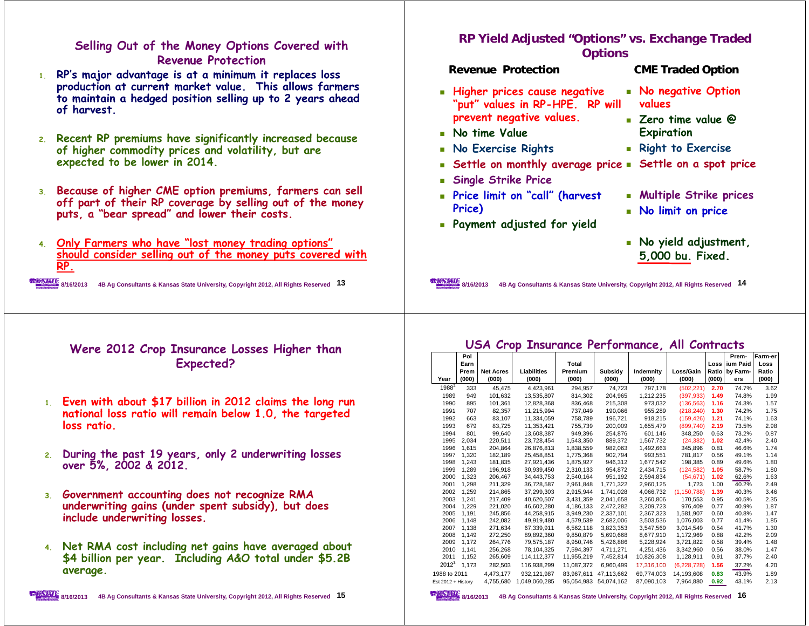#### **Selling Out of the Money Options Covered with Revenue Protection**

- **1. RP's major advantage is at a minimum it replaces loss production at current market value. This allows farmers to maintain a hedged position selling up to 2 years ahead of harvest.**
- **2. Recent RP premiums have significantly increased because of higher commodity prices and volatility, but are expected to be lower in 2014.**
- **3. Because of higher CME option premiums, farmers can sell off part of their RP coverage by selling out of the money puts a puts, bear spread and lower their costs "bear spread" costs.**
- **4. Only Farmers who have "lost money trading options" h ld id lli t f th t d ith should consider selling out of the money puts covered with RP.**

**8/16/2013 4B Ag Consultants & Kansas State University, Copyright 2012, All Rights Reserved 13**

#### **Were 2012 Crop Insurance Losses Higher than Expected?**

- **1. Even with about \$17 billion in 2012 claims the long run**  national loss ratio will remain below 1.0, the targeted **loss ratio.**
- **2. <sup>D</sup> <sup>h</sup> 19 l 2 d <sup>l</sup> During the past years, only underwriting losses over 5%, 2002 & 2012.**
- **3. Government accounting does not recognize RMA underwriting gains (under spent subsidy), but does include underwriting losses.**
- 4. Net RMA cost including net gains have averaged about **Net RMA cost including net gains have averaged about \$4 billion per year. Including A&O total under \$5.2B \$ py <sup>g</sup> \$ average.**

## **RP Yield Adjusted "Options" vs. Exchange Traded Options**

#### **Revenue Protection**

#### **CME Traded Option**

- **Higher prices cause negative "put" values in RP-HPE. RP will l prevent negative values.**
- **No time Value**
- **No Exercise Rights**
- **Settle on monthly average price Settle on a spot price**
- **l k P Single Strike Price**
- **Price limit on "call" (harvest Price)**
- **Payment adjusted for yield**
- **No negative Option values**
- **Zero time value @ Expiration p**
- **Right to Exercise**
- 
- **Multiple Strike prices**
- **No limit on price**
- **No yield adjustment, 000 b F d 5,000 bu. Fixed.**

**8/16/2013 4B Ag Consultants & Kansas State University, Copyright 2012, All Rights Reserved 14**

#### **USA Crop Insurance Performance, All Contracts**

|                    | Pol   |                  |               |            |            |            |             |       | Prem-           | Farm-er |
|--------------------|-------|------------------|---------------|------------|------------|------------|-------------|-------|-----------------|---------|
|                    | Earn  |                  |               | Total      |            |            |             | Loss  | <b>ium Paid</b> | Loss    |
|                    | Prem  | <b>Net Acres</b> | Liabilities   | Premium    | Subsidy    | Indemnity  | Loss/Gain   | Ratio | by Farm-        | Ratio   |
| Year               | (000) | (000)            | (000)         | (000)      | (000)      | (000)      | (000)       | (000) | ers             | (000)   |
| $1988^2$           | 333   | 45.475           | 4.423.961     | 294.957    | 74.723     | 797.178    | (502, 221)  | 2.70  | 74.7%           | 3.62    |
| 1989               | 949   | 101,632          | 13,535,807    | 814,302    | 204,965    | 1,212,235  | (397, 933)  | 1.49  | 74.8%           | 1.99    |
| 1990               | 895   | 101.361          | 12.828.368    | 836.468    | 215.308    | 973.032    | (136, 563)  | 1.16  | 74.3%           | 1.57    |
| 1991               | 707   | 82,357           | 11,215,994    | 737,049    | 190,066    | 955,289    | (218, 240)  | 1.30  | 74.2%           | 1.75    |
| 1992               | 663   | 83.107           | 11.334.059    | 758,789    | 196.721    | 918.215    | (159, 426)  | 1.21  | 74.1%           | 1.63    |
| 1993               | 679   | 83.725           | 11.353.421    | 755,739    | 200.009    | 1,655,479  | (899, 740)  | 2.19  | 73.5%           | 2.98    |
| 1994               | 801   | 99.640           | 13.608.387    | 949.396    | 254.876    | 601.146    | 348.250     | 0.63  | 73.2%           | 0.87    |
| 1995               | 2,034 | 220,511          | 23,728,454    | 1,543,350  | 889,372    | 1,567,732  | (24, 382)   | 1.02  | 42.4%           | 2.40    |
| 1996               | 1.615 | 204.864          | 26.876.813    | 1.838.559  | 982.063    | 1.492.663  | 345.896     | 0.81  | 46.6%           | 1.74    |
| 1997               | 1,320 | 182,189          | 25,458,851    | 1,775,368  | 902,794    | 993,551    | 781,817     | 0.56  | 49.1%           | 1.14    |
| 1998               | 1.243 | 181.835          | 27,921,436    | 1,875,927  | 946.312    | 1,677,542  | 198,385     | 0.89  | 49.6%           | 1.80    |
| 1999               | 1,289 | 196,918          | 30,939,450    | 2,310,133  | 954,872    | 2,434,715  | (124, 582)  | 1.05  | 58.7%           | 1.80    |
| 2000               | 1.323 | 206.467          | 34,443,753    | 2,540,164  | 951,192    | 2,594,834  | (54, 671)   | 1.02  | 62.6%           | 1.63    |
| 2001               | 1.298 | 211.329          | 36.728.587    | 2.961.848  | 1.771.322  | 2,960,125  | 1,723       | 1.00  | 40.2%           | 2.49    |
| 2002               | 1.259 | 214.865          | 37.299.303    | 2.915.944  | 1.741.028  | 4.066.732  | (1.150.788) | 1.39  | 40.3%           | 3.46    |
| 2003               | 1.241 | 217.409          | 40,620,507    | 3,431,359  | 2,041,658  | 3,260,806  | 170.553     | 0.95  | 40.5%           | 2.35    |
| 2004               | 1.229 | 221.020          | 46.602.280    | 4.186.133  | 2.472.282  | 3.209.723  | 976.409     | 0.77  | 40.9%           | 1.87    |
| 2005               | 1.191 | 245.856          | 44.258.915    | 3.949.230  | 2.337.101  | 2.367.323  | 1.581.907   | 0.60  | 40.8%           | 1.47    |
| 2006               | 1.148 | 242.082          | 49,919,480    | 4,579,539  | 2,682,006  | 3,503,536  | 1.076.003   | 0.77  | 41.4%           | 1.85    |
| 2007               | 1.138 | 271,634          | 67,339,911    | 6,562,118  | 3,823,353  | 3,547,569  | 3,014,549   | 0.54  | 41.7%           | 1.30    |
| 2008               | 1.149 | 272.250          | 89.892.360    | 9.850.879  | 5.690.668  | 8.677.910  | 1.172.969   | 0.88  | 42.2%           | 2.09    |
| 2009               | 1,172 | 264,776          | 79,575,187    | 8,950,746  | 5,426,886  | 5,228,924  | 3,721,822   | 0.58  | 39.4%           | 1.48    |
| 2010               | 1.141 | 256.268          | 78,104,325    | 7.594.397  | 4,711,271  | 4,251,436  | 3,342,960   | 0.56  | 38.0%           | 1.47    |
| 2011               | 1,152 | 265,609          | 114, 112, 377 | 11,955,219 | 7,452,814  | 10,826,308 | 1,128,911   | 0.91  | 37.7%           | 2.40    |
| $2012^3$           | 1.173 | 282.503          | 116.938.299   | 11.087.372 | 6,960,499  | 17,316,100 | (6.228.728) | 1.56  | 37.2%           | 4.20    |
| 1988 to 2011       |       | 4,473,177        | 932.121.987   | 83.967.611 | 47.113.662 | 69.774.003 | 14,193,608  | 0.83  | 43.9%           | 1.89    |
| Est 2012 + History |       | 4.755.680        | 1.049.060.285 | 95.054.983 | 54,074,162 | 87,090,103 | 7.964.880   | 0.92  | 43.1%           | 2.13    |

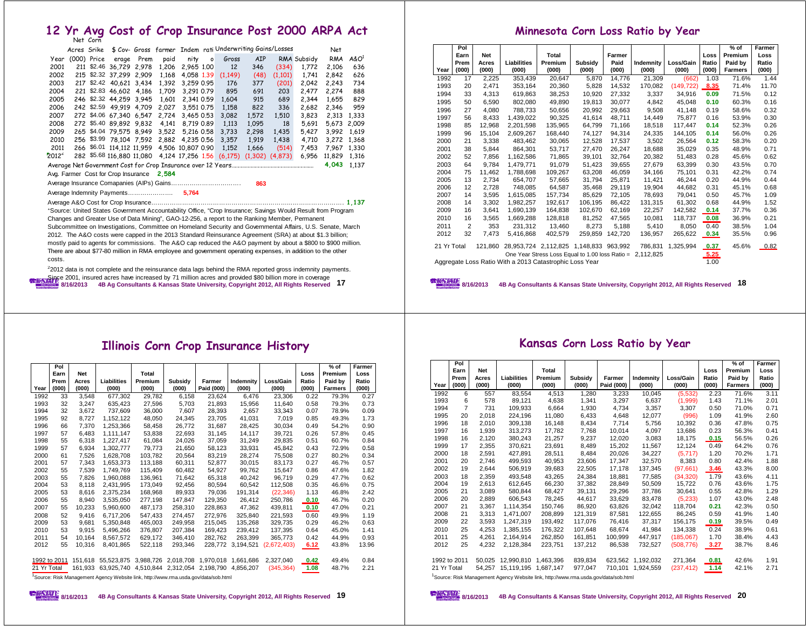# **12 Yr Avg Cost of Crop Insurance Post 2000 ARPA Act** Corn Net

|                                     | Acres Srike                                                                                                |             |                                     |      |       |                   |         | \$ Cov- Gross farmer Indem rati Underwriting Gains/Losses |            |                     |             | Net    |          |
|-------------------------------------|------------------------------------------------------------------------------------------------------------|-------------|-------------------------------------|------|-------|-------------------|---------|-----------------------------------------------------------|------------|---------------------|-------------|--------|----------|
| Year                                |                                                                                                            | (000) Price | erage                               | Prem | paid  | nity              | $\circ$ | Gross                                                     | <b>AIP</b> |                     | RMA Subsidy | RMA    | $A\&O^1$ |
| 2001                                |                                                                                                            | 211 \$2.46  | 36,729 2,978                        |      | 1,206 | 2,965 1.00        |         | 12                                                        | 346        | (334)               | 1,772       | 2,106  | 636      |
| 2002                                |                                                                                                            |             | 215 \$2.32 37.299 2.909             |      | 1.168 | 4.058 1.39        |         | (1,149)                                                   | (48)       | (1,101)             | 1.741       | 2,842  | 626      |
| 2003                                |                                                                                                            |             | 217 \$2.42 40,621 3,434             |      | 1,392 | 3,259 0.95        |         | 176                                                       | 377        | (201)               | 2,042       | 2,243  | 734      |
| 2004                                |                                                                                                            |             | 221 \$2.83 46,602 4,186             |      | 1.709 | 3.291 0.79        |         | 895                                                       | 691        | 203                 | 2.477       | 2.274  | 888      |
| 2005                                |                                                                                                            |             | 246 \$2.32 44,259 3,945             |      | 1.601 | 2.341 0.59        |         | 1,604                                                     | 915        | 689                 | 2,344       | 1,655  | 829      |
| 2006                                |                                                                                                            |             | 242 \$2.59 49.919 4.709             |      | 2.027 | 3.551 0.75        |         | 1,158                                                     | 822        | 336                 | 2,682       | 2,346  | 959      |
| 2007                                |                                                                                                            |             | 272 \$4.06 67,340 6,547             |      | 2.724 | 3.465 0.53        |         | 3,082                                                     | 1,572      | 1,510               | 3,823       | 2,313  | 1,333    |
| 2008                                |                                                                                                            |             | 272 \$5.40 89,892 9,832             |      | 4.141 | 8.719 0.89        |         | 1,113                                                     | 1,095      | 18                  | 5,691       | 5,673  | 2,009    |
| 2009                                |                                                                                                            |             | 265 \$4.04 79,575 8,949             |      | 3.522 | 5.216 0.58        |         | 3,733                                                     | 2,298      | 1,435               | 5,427       | 3,992  | 1.619    |
| 2010                                |                                                                                                            |             | 256 \$3.99 78,104 7,592             |      | 2,882 | 4.235 0.56        |         | 3.357                                                     | 1,919      | 1.438               | 4.710       | 3.272  | 1.368    |
| 2011                                |                                                                                                            |             | 266 \$6.01 114,112 11,959           |      |       | 4,506 10,807 0.90 |         | 1,152                                                     | 1,666      | (514)               | 7,453       | 7,967  | 1,330    |
| $2012^2$                            |                                                                                                            |             |                                     |      |       |                   |         | 282 \$5.68 116,880 11,080 4,124 17,256 1.56 (6,175)       |            | $(1,302)$ $(4,873)$ | 6,956       | 11,829 | 1,316    |
|                                     |                                                                                                            |             |                                     |      |       |                   |         |                                                           |            |                     |             | 4,043  | 1.137    |
|                                     |                                                                                                            |             | Avg. Farmer Cost for Crop Insurance |      | 2.584 |                   |         |                                                           |            |                     |             |        |          |
|                                     | 863                                                                                                        |             |                                     |      |       |                   |         |                                                           |            |                     |             |        |          |
| Average Indemnity Payments<br>5,764 |                                                                                                            |             |                                     |      |       |                   |         |                                                           |            |                     |             |        |          |
|                                     |                                                                                                            |             |                                     |      |       |                   |         |                                                           |            |                     |             |        |          |
|                                     | Bource: United States Government Accountability Office, "Crop Insurance; Savings Would Result from Program |             |                                     |      |       |                   |         |                                                           |            |                     |             |        |          |

Changes and Greater Use of Data Mining", GAO-12-256, a report to the Ranking Member, Permanent Subcommittee on Investigations, Committee on Homeland Security and Governmental Affairs, U.S. Senate, March 2012. The A&O costs were capped in the 2013 Standard Reinsurance Agreement (SRA) at about \$1.3 billion; mostly paid to agents for commissions. The A&O cap reduced the A&O payment by about a \$800 to \$900 million. There are about \$77-80 million in RMA employee and government operating expenses, in addition to the other costs.

**8/16/2013 4B Ag Consultants & Kansas State University, Copyright 2012, All Rights Reserved 17**  $22012$  data is not complete and the reinsurance data lags behind the RMA reported gross indemnity payments. **EXAMPLE 2001, insured acres have increased by 71 million acres and provided \$80 billion more in coverage** 

#### **Minnesota Corn Loss Ratio by Year**

|      | Pol<br>Earn                                                                                                                                                                                                                                               | <b>Net</b> |             | Total   |         | Farmer  |           |            | Loss  | $%$ of<br>Premium | Farmer<br>Loss |
|------|-----------------------------------------------------------------------------------------------------------------------------------------------------------------------------------------------------------------------------------------------------------|------------|-------------|---------|---------|---------|-----------|------------|-------|-------------------|----------------|
|      | Prem                                                                                                                                                                                                                                                      | Acres      | Liabilities | Premium | Subsidy | Paid    | Indemnity | Loss/Gain  | Ratio | Paid by           | Ratio          |
| Year | (000)                                                                                                                                                                                                                                                     | (000)      | (000)       | (000)   | (000)   | (000)   | (000)     | (000)      | (000) | <b>Farmers</b>    | (000)          |
| 1992 | 17                                                                                                                                                                                                                                                        | 2.225      | 353,439     | 20.647  | 5.870   | 14,776  | 21,309    | (662)      | 1.03  | 71.6%             | 1.44           |
| 1993 | 20                                                                                                                                                                                                                                                        | 2,471      | 353,164     | 20,360  | 5,828   | 14,532  | 170,082   | (149, 722) | 8.35  | 71.4%             | 11.70          |
| 1994 | 33                                                                                                                                                                                                                                                        | 4,313      | 619,863     | 38,253  | 10,920  | 27,332  | 3,337     | 34,916     | 0.09  | 71.5%             | 0.12           |
| 1995 | 50                                                                                                                                                                                                                                                        | 6.590      | 802.080     | 49.890  | 19.813  | 30.077  | 4.842     | 45.048     | 0.10  | 60.3%             | 0.16           |
| 1996 | 27                                                                                                                                                                                                                                                        | 4.080      | 788.733     | 50.656  | 20.992  | 29.663  | 9.508     | 41.148     | 0.19  | 58.6%             | 0.32           |
| 1997 | 56                                                                                                                                                                                                                                                        | 8.433      | 1.439.022   | 90.325  | 41.614  | 48.711  | 14.449    | 75.877     | 0.16  | 53.9%             | 0.30           |
| 1998 | 85                                                                                                                                                                                                                                                        | 12.968     | 2,201,598   | 135,965 | 64,799  | 71,166  | 18,518    | 117,447    | 0.14  | 52.3%             | 0.26           |
| 1999 | 96                                                                                                                                                                                                                                                        | 15.104     | 2.609.267   | 168.440 | 74,127  | 94,314  | 24.335    | 144,105    | 0.14  | 56.0%             | 0.26           |
| 2000 | 21                                                                                                                                                                                                                                                        | 3.338      | 483.462     | 30.065  | 12.528  | 17.537  | 3.502     | 26.564     | 0.12  | 58.3%             | 0.20           |
| 2001 | 38                                                                                                                                                                                                                                                        | 5.844      | 864,301     | 53,717  | 27.470  | 26,247  | 18.688    | 35,029     | 0.35  | 48.9%             | 0.71           |
| 2002 | 52                                                                                                                                                                                                                                                        | 7.856      | 1.162.586   | 71.865  | 39.101  | 32.764  | 20.382    | 51.483     | 0.28  | 45.6%             | 0.62           |
| 2003 | 64                                                                                                                                                                                                                                                        | 9.784      | 1.479.771   | 91.079  | 51.423  | 39.655  | 27.679    | 63.399     | 0.30  | 43.5%             | 0.70           |
| 2004 | 75                                                                                                                                                                                                                                                        | 11.462     | 1.788.698   | 109.267 | 63.208  | 46.059  | 34.166    | 75.101     | 0.31  | 42.2%             | 0.74           |
| 2005 | 13                                                                                                                                                                                                                                                        | 2.734      | 654.707     | 57,665  | 31,794  | 25.871  | 11.421    | 46.244     | 0.20  | 44.9%             | 0.44           |
| 2006 | 12                                                                                                                                                                                                                                                        | 2.728      | 748.085     | 64.587  | 35.468  | 29.119  | 19.904    | 44.682     | 0.31  | 45.1%             | 0.68           |
| 2007 | 14                                                                                                                                                                                                                                                        | 3.595      | 1,615,085   | 157,734 | 85,629  | 72,105  | 78.693    | 79,041     | 0.50  | 45.7%             | 1.09           |
| 2008 | 14                                                                                                                                                                                                                                                        | 3.302      | 1,982,257   | 192.617 | 106,195 | 86,422  | 131,315   | 61,302     | 0.68  | 44.9%             | 1.52           |
| 2009 | 16                                                                                                                                                                                                                                                        | 3.641      | 1.690.139   | 164.838 | 102.670 | 62,169  | 22.257    | 142.582    | 0.14  | 37.7%             | 0.36           |
| 2010 | 16                                                                                                                                                                                                                                                        | 3.565      | 1.669.288   | 128.818 | 81.252  | 47.565  | 10.081    | 118.737    | 0.08  | 36.9%             | 0.21           |
| 2011 | $\overline{2}$                                                                                                                                                                                                                                            | 353        | 231,312     | 13.460  | 8.273   | 5.188   | 5.410     | 8.050      | 0.40  | 38.5%             | 1.04           |
| 2012 | 32                                                                                                                                                                                                                                                        | 7,473      | 5,416,868   | 402,579 | 259,859 | 142,720 | 136,957   | 265,622    | 0.34  | 35.5%             | 0.96           |
|      | 21 Yr Total<br>28,953,724 2,112,825 1,148,833 963,992<br>786,831<br>1,325,994<br>0.37<br>45.6%<br>121.860<br>0.82<br>5.25<br>One Year Stress Loss Equal to 1.00 loss Ratio = 2,112,825<br>Aggregate Loss Ratio With a 2013 Catastrophic Loss Year<br>1.00 |            |             |         |         |         |           |            |       |                   |                |
|      |                                                                                                                                                                                                                                                           |            |             |         |         |         |           |            |       |                   |                |

**8/16/2013 4B Ag Consultants & Kansas State University, Copyright 2012, All Rights Reserved 18**

#### **Illinois Corn Crop Insurance History**

|              | Pol          |         |             |         |                     |            |           |             |       | $%$ of         | Farmer |
|--------------|--------------|---------|-------------|---------|---------------------|------------|-----------|-------------|-------|----------------|--------|
|              | Earn         | Net     |             | Total   |                     |            |           |             | Loss  | Premium        | Loss   |
|              | Prem         | Acres   | Liabilities | Premium | Subsidy             | Farmer     | Indemnity | Loss/Gain   | Ratio | Paid by        | Ratio  |
| Year         | (000)        | (000)   | (000)       | (000)   | (000)               | Paid (000) | (000)     | (000)       | (000) | <b>Farmers</b> | (000)  |
| 1992         | 33           | 3.548   | 677.302     | 29.782  | 6.158               | 23.624     | 6.476     | 23.306      | 0.22  | 79.3%          | 0.27   |
| 1993         | 32           | 3.247   | 635.423     | 27.596  | 5.703               | 21.893     | 15.956    | 11,640      | 0.58  | 79.3%          | 0.73   |
| 1994         | 32           | 3.672   | 737.609     | 36.000  | 7.607               | 28,393     | 2.657     | 33.343      | 0.07  | 78.9%          | 0.09   |
| 1995         | 92           | 8.727   | 1.152.122   | 48.050  | 24.345              | 23.705     | 41.031    | 7.019       | 0.85  | 49.3%          | 1.73   |
| 1996         | 66           | 7.370   | 1.253.366   | 58.458  | 26.772              | 31.687     | 28.425    | 30.034      | 0.49  | 54.2%          | 0.90   |
| 1997         | 57           | 6,483   | 1,111,147   | 53,838  | 22,693              | 31,145     | 14,117    | 39,721      | 0.26  | 57.8%          | 0.45   |
| 1998         | 55           | 6.318   | 1.227.417   | 61.084  | 24.026              | 37.059     | 31.249    | 29.835      | 0.51  | 60.7%          | 0.84   |
| 1999         | 57           | 6.934   | 1.302.777   | 79.773  | 21.650              | 58.123     | 33,931    | 45.842      | 0.43  | 72.9%          | 0.58   |
| 2000         | 61           | 7.526   | 1.628.708   | 103.782 | 20.564              | 83.219     | 28.274    | 75.508      | 0.27  | 80.2%          | 0.34   |
| 2001         | 57           | 7,343   | 1,653,373   | 113,188 | 60,311              | 52,877     | 30,015    | 83,173      | 0.27  | 46.7%          | 0.57   |
| 2002         | 55           | 7.539   | 1.749.769   | 115.409 | 60.482              | 54.927     | 99.762    | 15.647      | 0.86  | 47.6%          | 1.82   |
| 2003         | 55           | 7.826   | 1.960.088   | 136.961 | 71.642              | 65.318     | 40.242    | 96.719      | 0.29  | 47.7%          | 0.62   |
| 2004         | 53           | 8.118   | 2,431,995   | 173.049 | 92.456              | 80.594     | 60.542    | 112.508     | 0.35  | 46.6%          | 0.75   |
| 2005         | 53           | 8.616   | 2.375.234   | 168.968 | 89,933              | 79.036     | 191.314   | (22, 346)   | 1.13  | 46.8%          | 2.42   |
| 2006         | 55           | 8.940   | 3.535.050   | 277.198 | 147.847             | 129.350    | 26.412    | 250.786     | 0.10  | 46.7%          | 0.20   |
| 2007         | 55           | 10.233  | 5.960.600   | 487.173 | 258.310             | 228.863    | 47.362    | 439,811     | 0.10  | 47.0%          | 0.21   |
| 2008         | 52           | 9.416   | 6.717.206   | 547.433 | 274.457             | 272.976    | 325.840   | 221.593     | 0.60  | 49.9%          | 1.19   |
| 2009         | 53           | 9.681   | 5.350.848   | 465.003 | 249.958             | 215.045    | 135.268   | 329.735     | 0.29  | 46.2%          | 0.63   |
| 2010         | 53           | 9.915   | 5.496.266   | 376.807 | 207.384             | 169.423    | 239.412   | 137.395     | 0.64  | 45.0%          | 1.41   |
| 2011         | 54           | 10.164  | 8,567,572   | 629,172 | 346,410             | 282,762    | 263,399   | 365,773     | 0.42  | 44.9%          | 0.93   |
| 2012         | 55           | 10.316  | 8.401.865   | 522.118 | 293.346             | 228.772    | 3.194.521 | (2.672.403) | 6.12  | 43.8%          | 13.96  |
|              |              |         |             |         |                     |            |           |             |       |                |        |
|              | 1992 to 2011 | 151.618 | 55.523.875  |         | 3.988.726 2.018.708 | 1.970.018  | 1.661.686 | 2.327.040   | 0.42  | 49.4%          | 0.84   |
| 21 Yr Total  |              | 161.933 | 63.925.740  |         | 4.510.844 2.312.054 | 2.198.790  | 4.856.207 | (345, 364)  | 1.08  | 48.7%          | 2.21   |
| $1_{\cap}$ . | $-2$         |         |             |         |                     |            |           |             |       |                |        |

Risk Management Agency Website link, http://www.rma.usda.gov/data/sob.htm

|  | z<br>٠ |
|--|--------|
|  |        |

#### **Kansas Corn Loss Ratio by Year**

|      | Pol                                                                                          |            |             |              |         |            |           |            |       | $%$ of         | Farmer |
|------|----------------------------------------------------------------------------------------------|------------|-------------|--------------|---------|------------|-----------|------------|-------|----------------|--------|
|      | Earn                                                                                         | <b>Net</b> |             | <b>Total</b> |         |            |           |            | Loss  | Premium        | Loss   |
|      | Prem                                                                                         | Acres      | Liabilities | Premium      | Subsidy | Farmer     | Indemnity | Loss/Gain  | Ratio | Paid by        | Ratio  |
| Year | (000)                                                                                        | (000)      | (000)       | (000)        | (000)   | Paid (000) | (000)     | (000)      | (000) | <b>Farmers</b> | (000)  |
| 1992 | 6                                                                                            | 557        | 83,554      | 4,513        | 1,280   | 3,233      | 10,045    | (5,532)    | 2.23  | 71.6%          | 3.11   |
| 1993 | 6                                                                                            | 578        | 89.121      | 4,638        | 1.341   | 3,297      | 6,637     | (1,999)    | 1.43  | 71.1%          | 2.01   |
| 1994 | $\overline{7}$                                                                               | 731        | 109,933     | 6,664        | 1,930   | 4,734      | 3,357     | 3,307      | 0.50  | 71.0%          | 0.71   |
| 1995 | 20                                                                                           | 2.018      | 224.196     | 11.080       | 6,433   | 4,648      | 12.077    | (996)      | 1.09  | 41.9%          | 2.60   |
| 1996 | 18                                                                                           | 2,010      | 309,138     | 16,148       | 8,434   | 7,714      | 5,756     | 10,392     | 0.36  | 47.8%          | 0.75   |
| 1997 | 16                                                                                           | 1,939      | 313.273     | 17,782       | 7.768   | 10.014     | 4.097     | 13,686     | 0.23  | 56.3%          | 0.41   |
| 1998 | 16                                                                                           | 2,120      | 380,243     | 21,257       | 9,237   | 12,020     | 3,083     | 18,175     | 0.15  | 56.5%          | 0.26   |
| 1999 | 17                                                                                           | 2.355      | 370.621     | 23.691       | 8.489   | 15.202     | 11.567    | 12,124     | 0.49  | 64.2%          | 0.76   |
| 2000 | 18                                                                                           | 2.591      | 427.891     | 28,511       | 8.484   | 20.026     | 34.227    | (5,717)    | 1.20  | 70.2%          | 1.71   |
| 2001 | 20                                                                                           | 2.746      | 499.593     | 40.953       | 23.606  | 17.347     | 32.570    | 8.383      | 0.80  | 42.4%          | 1.88   |
| 2002 | 19                                                                                           | 2.644      | 506.919     | 39,683       | 22.505  | 17,178     | 137,345   | (97,661)   | 3.46  | 43.3%          | 8.00   |
| 2003 | 18                                                                                           | 2.359      | 493.548     | 43.265       | 24.384  | 18.881     | 77.585    | (34.320)   | 1.79  | 43.6%          | 4.11   |
| 2004 | 19                                                                                           | 2.613      | 612.645     | 66,230       | 37.382  | 28.849     | 50.509    | 15.722     | 0.76  | 43.6%          | 1.75   |
| 2005 | 21                                                                                           | 3.089      | 580.844     | 68.427       | 39,131  | 29.296     | 37.786    | 30.641     | 0.55  | 42.8%          | 1.29   |
| 2006 | 20                                                                                           | 2.889      | 606.543     | 78,245       | 44.617  | 33.629     | 83,478    | (5,233)    | 1.07  | 43.0%          | 2.48   |
| 2007 | 21                                                                                           | 3.367      | 1.114.354   | 150.746      | 86.920  | 63.826     | 32.042    | 118.704    | 0.21  | 42.3%          | 0.50   |
| 2008 | 21                                                                                           | 3.313      | 1.471.007   | 208.899      | 121.319 | 87.581     | 122.655   | 86.245     | 0.59  | 41.9%          | 1.40   |
| 2009 | 22                                                                                           | 3.593      | 1.247.319   | 193,492      | 117.076 | 76.416     | 37.317    | 156.175    | 0.19  | 39.5%          | 0.49   |
| 2010 | 25                                                                                           | 4.253      | 1.385.155   | 176.322      | 107.648 | 68.674     | 41.984    | 134.338    | 0.24  | 38.9%          | 0.61   |
| 2011 | 25                                                                                           | 4.261      | 2.164.914   | 262.850      | 161.851 | 100.999    | 447.917   | (185.067)  | 1.70  | 38.4%          | 4.43   |
| 2012 | 25                                                                                           | 4.232      | 2.128.384   | 223.751      | 137.212 | 86.538     | 732.527   | (508.776)  | 3.27  | 38.7%          | 8.46   |
|      | 1992 to 2011                                                                                 | 50.025     | 12.990.810  | 1.463.396    | 839.834 | 623.562    | 1,192,032 | 271,364    | 0.81  | 42.6%          | 1.91   |
|      | 21 Yr Total                                                                                  |            | 15.119.195  | 1,687,147    | 977,047 | 710.101    | 1.924.559 | (237, 412) | 1.14  | 42.1%          | 2.71   |
|      | 54.257<br>Source: Risk Management Agency Website link, http://www.rma.usda.gov/data/sob.html |            |             |              |         |            |           |            |       |                |        |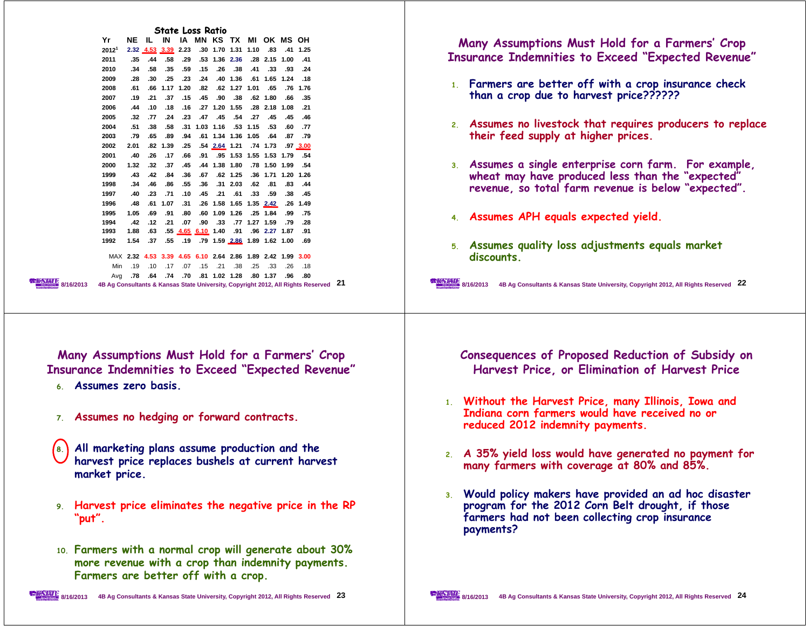| <b>State Loss Ratio</b><br>Yr<br>NE IL IN IA MN KS TX MI OK MS OH<br>2.32 4.53 3.39 2.23 .30 1.70 1.31 1.10 .83 .41 1.25<br>$2012^1$<br>.41 .40 .41 .58 .28 .136 .236 .28 .15 .00 .41<br>2011<br>2010<br>.34 .58 .35 .59 .15 .26 .38 .41 .33 .93 .24<br>2009<br>.18 .1.24 .165 .21 .161 .36 .40 .30 .23 .23 .28.<br>2008<br>.61 .76 .76 .62 .62 .62 .62 .62 .76 .61 .66 .61<br>2007<br>.19 .35 .36 .62 .62 .62 .90 .38 .62 .19 .21 .37<br>21. 1.08 2.18 2.48 2.48 1.20 1.20 2.15 1.8 1.08 1.08.<br>2006<br>.44<br>.77 .24 .23 .47 .45 .54 .27 .45<br>2005<br>.32<br>.45.46<br>2004<br>.51 .38 .58 .31 1.03 1.16 .53 1.15 .53<br>.60 .77<br>2003<br>79. 87. 87. 64. 1.36 1.34 1.36 1.05 64 65. 79. 79<br>2002<br>2.01 .82 1.39 .25 .54 2.64 1.21 .74 1.73 .97 3.00<br>2001<br>.26 .17 .66 .91 .95 1.53 1.55 1.53 1.79 .54<br>.40<br>1.32 .32 .37 .45 .44 1.38 1.80 .78 1.50 1.99 .54<br>2000<br>1999<br>.43 .42 .84 .36 .67 .62 1.25 .36 1.71 1.20 1.26<br>.34 .46 .86 .55 .36 .31 2.03 .62 .81<br>1998<br>.83.44<br>1997<br>.59 .53 .61 .21 .61 .10 .71 .23<br>.40<br>.38.45<br>1996<br>.48<br>.91 .80 .60 1.09 1.26 .25 1.84 .99 .75<br>1995<br>1.05<br>.69<br>.42. 79. 79. 1.27 1.27 77. 33. 07. 10. 12. 12. 42.<br>1994<br>.01 .63 .55 <u>4.65 6.10</u> 1.40 .91 .96 2.27 1.87 .91<br>1993<br>1.88<br>1.54 .37 .55 .19 .79 1.59 2.86 1.89 1.62 1.00 .69<br>1992<br>MAX 2.32 4.53 3.39 4.65 6.10 2.64 2.86 1.89 2.42 1.99 3.00<br>.18 .26 .33 .25 .38 .25 .38 .15 .15 .15 .19 .19<br>Min<br>80. 36. 38. 1.37 80. 1.28 1.02 1.28 80. 74. 74. Avg<br>4B Ag Consultants & Kansas State University, Copyright 2012, All Rights Reserved 21<br>8/16/2013 | Many Assumptions Must Hold for a Farmers' Crop<br><b>Insurance Indemnities to Exceed "Expected Revenue"</b><br>1. Farmers are better off with a crop insurance check<br>than a crop due to harvest price??????<br>2. Assumes no livestock that requires producers to replace<br>their feed supply at higher prices.<br>3. Assumes a single enterprise corn farm. For example,<br>wheat may have produced less than the "expected"<br>revenue, so total farm revenue is below "expected".<br>4. Assumes APH equals expected yield.<br>5. Assumes quality loss adjustments equals market<br>discounts.<br><b>ENAMER 8/16/2013</b><br>4B Ag Consultants & Kansas State University, Copyright 2012, All Rights Reserved 22 |
|-------------------------------------------------------------------------------------------------------------------------------------------------------------------------------------------------------------------------------------------------------------------------------------------------------------------------------------------------------------------------------------------------------------------------------------------------------------------------------------------------------------------------------------------------------------------------------------------------------------------------------------------------------------------------------------------------------------------------------------------------------------------------------------------------------------------------------------------------------------------------------------------------------------------------------------------------------------------------------------------------------------------------------------------------------------------------------------------------------------------------------------------------------------------------------------------------------------------------------------------------------------------------------------------------------------------------------------------------------------------------------------------------------------------------------------------------------------------------------------------------------------------------------------------------------------------------------------------------------------------------------------------------------|------------------------------------------------------------------------------------------------------------------------------------------------------------------------------------------------------------------------------------------------------------------------------------------------------------------------------------------------------------------------------------------------------------------------------------------------------------------------------------------------------------------------------------------------------------------------------------------------------------------------------------------------------------------------------------------------------------------------|
| Many Assumptions Must Hold for a Farmers' Crop<br><b>Insurance Indemnities to Exceed "Expected Revenue"</b><br>Assumes zero basis.<br>6.                                                                                                                                                                                                                                                                                                                                                                                                                                                                                                                                                                                                                                                                                                                                                                                                                                                                                                                                                                                                                                                                                                                                                                                                                                                                                                                                                                                                                                                                                                              | Consequences of Proposed Reduction of Subsidy on<br>Harvest Price, or Elimination of Harvest Price                                                                                                                                                                                                                                                                                                                                                                                                                                                                                                                                                                                                                     |
| 7. Assumes no hedging or forward contracts.                                                                                                                                                                                                                                                                                                                                                                                                                                                                                                                                                                                                                                                                                                                                                                                                                                                                                                                                                                                                                                                                                                                                                                                                                                                                                                                                                                                                                                                                                                                                                                                                           | 1. Without the Harvest Price, many Illinois, Iowa and<br>Indiana corn farmers would have received no or<br>reduced 2012 indemnity payments.                                                                                                                                                                                                                                                                                                                                                                                                                                                                                                                                                                            |
| All marketing plans assume production and the<br>harvest price replaces bushels at current harvest<br>market price.                                                                                                                                                                                                                                                                                                                                                                                                                                                                                                                                                                                                                                                                                                                                                                                                                                                                                                                                                                                                                                                                                                                                                                                                                                                                                                                                                                                                                                                                                                                                   | 2. A 35% yield loss would have generated no payment for<br>many farmers with coverage at 80% and 85%.                                                                                                                                                                                                                                                                                                                                                                                                                                                                                                                                                                                                                  |
| 9. Harvest price eliminates the negative price in the RP<br>"put".                                                                                                                                                                                                                                                                                                                                                                                                                                                                                                                                                                                                                                                                                                                                                                                                                                                                                                                                                                                                                                                                                                                                                                                                                                                                                                                                                                                                                                                                                                                                                                                    | 3. Would policy makers have provided an ad hoc disaster<br>program for the 2012 Corn Belt drought, if those<br>farmers had not been collecting crop insurance<br>payments?                                                                                                                                                                                                                                                                                                                                                                                                                                                                                                                                             |
| 10. Farmers with a normal crop will generate about 30%<br>more revenue with a crop than indemnity payments.<br>Farmers are better off with a crop.                                                                                                                                                                                                                                                                                                                                                                                                                                                                                                                                                                                                                                                                                                                                                                                                                                                                                                                                                                                                                                                                                                                                                                                                                                                                                                                                                                                                                                                                                                    |                                                                                                                                                                                                                                                                                                                                                                                                                                                                                                                                                                                                                                                                                                                        |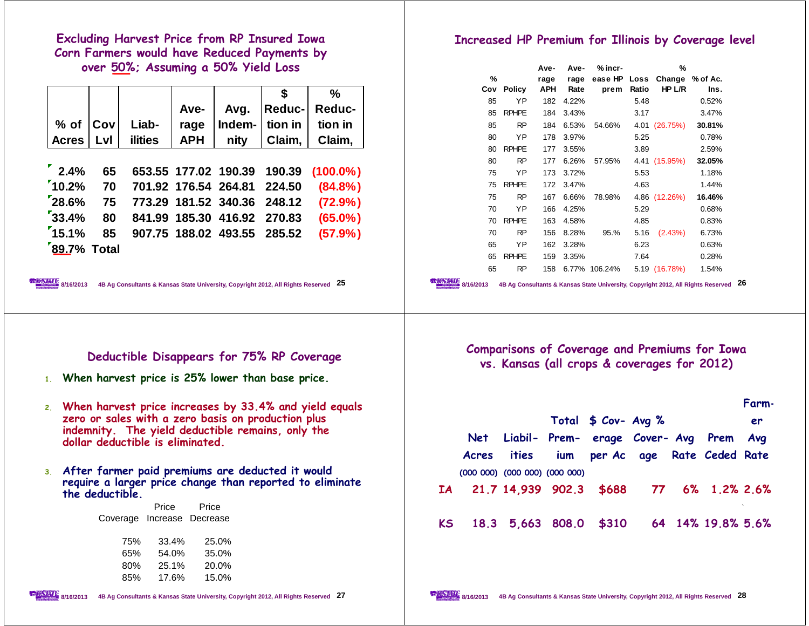**Excluding Harvest Price from RP Insured Iowa Corn Farmers would have Reduced Payments by over 50%; Assuming a 50% Yield Loss**

|    |                        |                 |                                                                                                                                             |            |                      | \$            | ℅                                                        |  |
|----|------------------------|-----------------|---------------------------------------------------------------------------------------------------------------------------------------------|------------|----------------------|---------------|----------------------------------------------------------|--|
|    |                        |                 |                                                                                                                                             | Ave-       | Avg.                 | <b>Reduc-</b> | Reduc-                                                   |  |
|    | $%$ of                 | Cov             | Liab-                                                                                                                                       | rage       | Indem-               | tion in       | tion in                                                  |  |
|    | <b>Acres</b>           | Lvl             | <b>ilities</b>                                                                                                                              | <b>APH</b> | nity                 | Claim,        | Claim,                                                   |  |
|    |                        |                 |                                                                                                                                             |            |                      |               |                                                          |  |
|    | $^{\prime}$ 2.4%       | 65              |                                                                                                                                             |            | 653.55 177.02 190.39 | 190.39        | $(100.0\%)$                                              |  |
|    | $10.2\%$               | 70              |                                                                                                                                             |            | 701.92 176.54 264.81 | 224.50        | $(84.8\%)$                                               |  |
|    | 28.6%                  | 75              |                                                                                                                                             |            | 773.29 181.52 340.36 | 248.12        | (72.9% )                                                 |  |
|    | 33.4%                  | 80              |                                                                                                                                             |            | 841.99 185.30 416.92 | 270.83        | $(65.0\%)$                                               |  |
|    | 15.1%                  | 85              |                                                                                                                                             |            | 907.75 188.02 493.55 | 285.52        | (57.9%)                                                  |  |
|    |                        | 89.7% Total     |                                                                                                                                             |            |                      |               |                                                          |  |
|    |                        |                 |                                                                                                                                             |            |                      |               |                                                          |  |
|    |                        |                 |                                                                                                                                             |            |                      |               |                                                          |  |
|    | <b>STATE</b> 8/16/2013 |                 | 4B Ag Consultants & Kansas State University, Copyright 2012, All Rights Reserved 25                                                         |            |                      |               |                                                          |  |
|    |                        |                 |                                                                                                                                             |            |                      |               |                                                          |  |
|    |                        |                 | Deductible Disappears for 75% RP Coverage                                                                                                   |            |                      |               |                                                          |  |
|    |                        |                 | 1. When harvest price is 25% lower than base price.                                                                                         |            |                      |               |                                                          |  |
| 2. |                        |                 | zero or sales with a zero basis on production plus<br>indemnity. The yield deductible remains, only the<br>dollar deductible is eliminated. |            |                      |               | When harvest price increases by 33.4% and yield equals   |  |
| 3. |                        | the deductible. | After farmer paid premiums are deducted it would                                                                                            |            |                      |               | require a larger price change than reported to eliminate |  |
|    |                        |                 | Price                                                                                                                                       | Price      |                      |               |                                                          |  |
|    |                        |                 | Coverage Increase Decrease                                                                                                                  |            |                      |               |                                                          |  |
|    |                        |                 | 75%                                                                                                                                         | 33.4%      | 25.0%                |               |                                                          |  |
|    |                        |                 | 65%                                                                                                                                         | 54.0%      | 35.0%                |               |                                                          |  |
|    |                        |                 | 80%                                                                                                                                         | 25.1%      | 20.0%                |               |                                                          |  |
|    |                        |                 | 85%                                                                                                                                         | 17.6%      | 15.0%                |               |                                                          |  |

## **Increased HP Premium for Illinois by Coverage level**

|     |               | Ave- | Ave-  | $%$ incr-                    |       | %             |        |
|-----|---------------|------|-------|------------------------------|-------|---------------|--------|
| %   |               | rage | rage  | ease HP Loss Change % of Ac. |       |               |        |
| Cov | <b>Policy</b> | APH  | Rate  | prem                         | Ratio | HP L/R        | Ins.   |
| 85  | ΥP            | 182  | 4.22% |                              | 5.48  |               | 0.52%  |
| 85  | <b>RPHPE</b>  | 184  | 3.43% |                              | 3.17  |               | 3.47%  |
| 85  | <b>RP</b>     | 184  | 6.53% | 54.66%                       |       | 4.01 (26.75%) | 30.81% |
| 80  | YP            | 178  | 3.97% |                              | 5.25  |               | 0.78%  |
| 80  | <b>RPHPE</b>  | 177  | 3.55% |                              | 3.89  |               | 2.59%  |
| 80  | <b>RP</b>     | 177  | 6.26% | 57.95%                       |       | 4.41 (15.95%) | 32.05% |
| 75  | ΥP            | 173  | 3.72% |                              | 5.53  |               | 1.18%  |
| 75  | <b>RPHPE</b>  | 172  | 3.47% |                              | 4.63  |               | 1.44%  |
| 75  | <b>RP</b>     | 167  | 6.66% | 78.98%                       |       | 4.86 (12.26%) | 16.46% |
| 70  | YP            | 166  | 4.25% |                              | 5.29  |               | 0.68%  |
| 70  | <b>RPHPE</b>  | 163  | 4.58% |                              | 4.85  |               | 0.83%  |
| 70  | <b>RP</b>     | 156  | 8.28% | 95.%                         | 5.16  | (2.43%)       | 6.73%  |
| 65  | ΥP            | 162  | 3.28% |                              | 6.23  |               | 0.63%  |
| 65  | <b>RPHPE</b>  | 159  | 3.35% |                              | 7.64  |               | 0.28%  |
| 65  | <b>RP</b>     | 158  |       | 6.77% 106.24%                |       | 5.19 (16.78%) | 1.54%  |

**8/16/2013 4B Ag Consultants & Kansas State University, Copyright 2012, All Rights Reserved 26**

**Comparisons of Coverage and Premiums for Iowa vs. Kansas (all crops & coverages for 2012)**

|     |                                            | Net Liabil- Prem- erage Cover- Avg Prem Avg<br>Acres ities ium per Ac age Rate Ceded Rate | Total $$ Cov- Avg %$ |  |                   | Farm-<br>er |
|-----|--------------------------------------------|-------------------------------------------------------------------------------------------|----------------------|--|-------------------|-------------|
|     |                                            | $(000 000)$ $(000 000)$ $(000 000)$                                                       |                      |  |                   |             |
|     | IA 21.7 14.939 902.3 \$688 77 6% 1.2% 2.6% |                                                                                           |                      |  |                   |             |
| KS. |                                            | 18.3 5,663 808.0 \$310                                                                    |                      |  | 64 14% 19.8% 5.6% |             |

22 A.M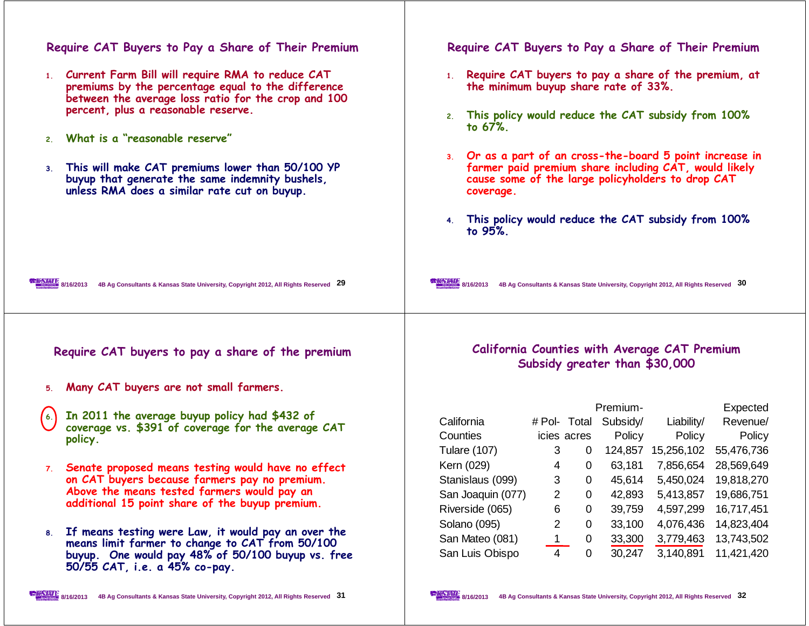| Require CAT Buyers to Pay a Share of Their Premium                                                                                                                    | Require CAT Buyers to Pay a Share of Their Premium                                                                                                                                   |  |  |  |  |  |
|-----------------------------------------------------------------------------------------------------------------------------------------------------------------------|--------------------------------------------------------------------------------------------------------------------------------------------------------------------------------------|--|--|--|--|--|
| 1. Current Farm Bill will require RMA to reduce CAT<br>premiums by the percentage equal to the difference<br>between the average loss ratio for the crop and 100      | 1. Require CAT buyers to pay a share of the premium, at<br>the minimum buyup share rate of 33%.                                                                                      |  |  |  |  |  |
| percent, plus a reasonable reserve.                                                                                                                                   | 2. This policy would reduce the CAT subsidy from 100%<br>to 67%.                                                                                                                     |  |  |  |  |  |
| 2. What is a "reasonable reserve"                                                                                                                                     |                                                                                                                                                                                      |  |  |  |  |  |
| This will make CAT premiums lower than 50/100 YP<br>3 <sub>1</sub><br>buyup that generate the same indemnity bushels,<br>unless RMA does a similar rate cut on buyup. | 3. Or as a part of an cross-the-board 5 point increase in<br>farmer paid premium share including CAT, would likely<br>cause some of the large policyholders to drop CAT<br>coverage. |  |  |  |  |  |
|                                                                                                                                                                       | 4. This policy would reduce the CAT subsidy from 100%<br>to 95%.                                                                                                                     |  |  |  |  |  |
| <b>EXAMPLE</b> 8/16/2013<br>4B Ag Consultants & Kansas State University, Copyright 2012, All Rights Reserved 29                                                       | 8/16/2013<br>4B Ag Consultants & Kansas State University, Copyright 2012, All Rights Reserved 30                                                                                     |  |  |  |  |  |
| Require CAT buyers to pay a share of the premium                                                                                                                      | California Counties with Average CAT Premium<br>Subsidy greater than \$30,000                                                                                                        |  |  |  |  |  |
| Many CAT buyers are not small farmers.<br>5.                                                                                                                          |                                                                                                                                                                                      |  |  |  |  |  |
|                                                                                                                                                                       | Premium-<br>Expected                                                                                                                                                                 |  |  |  |  |  |
| In 2011 the average buyup policy had \$432 of<br>$\left( 6. \right)$                                                                                                  | California<br># Pol- Total Subsidy/<br>Liability/<br>Revenue/                                                                                                                        |  |  |  |  |  |
| coverage vs. \$391 of coverage for the average CAT<br>policy.                                                                                                         | Counties<br>Policy<br>icies acres<br>Policy<br>Policy                                                                                                                                |  |  |  |  |  |
|                                                                                                                                                                       | 124,857 15,256,102<br><b>Tulare (107)</b><br>3<br>$\Omega$<br>55,476,736                                                                                                             |  |  |  |  |  |
| 7. Senate proposed means testing would have no effect                                                                                                                 | Kern (029)<br>63,181<br>7,856,654<br>28,569,649<br>4<br>$\overline{0}$                                                                                                               |  |  |  |  |  |
| on CAT buyers because farmers pay no premium.                                                                                                                         | Stanislaus (099)<br>0 45,614 5,450,024 19,818,270<br>3 <sup>7</sup>                                                                                                                  |  |  |  |  |  |
| Above the means tested farmers would pay an<br>additional 15 point share of the buyup premium.                                                                        | San Joaquin (077)<br>2<br>42,893<br>5,413,857<br>19,686,751<br>0                                                                                                                     |  |  |  |  |  |
|                                                                                                                                                                       | Riverside (065)<br>6<br>39,759<br>4,597,299<br>16,717,451<br>0                                                                                                                       |  |  |  |  |  |
| If means testing were Law, it would pay an over the<br>8.                                                                                                             | Solano (095)<br>2<br>33,100<br>$\Omega$<br>4,076,436<br>14,823,404                                                                                                                   |  |  |  |  |  |
| means limit farmer to change to CAT from 50/100                                                                                                                       | San Mateo (081)<br>$\mathbf 1$<br>0<br>33,300<br>3,779,463<br>13,743,502                                                                                                             |  |  |  |  |  |
| buyup. One would pay 48% of 50/100 buyup vs. free<br>50/55 CAT, i.e. a 45% co-pay.                                                                                    | San Luis Obispo<br>30,247<br>$\mathbf 0$<br>3,140,891<br>11,421,420<br>4                                                                                                             |  |  |  |  |  |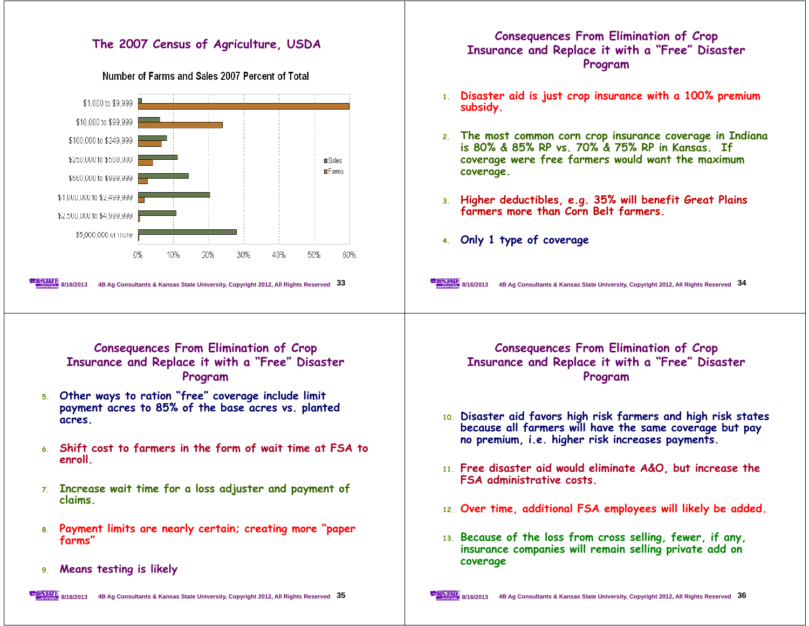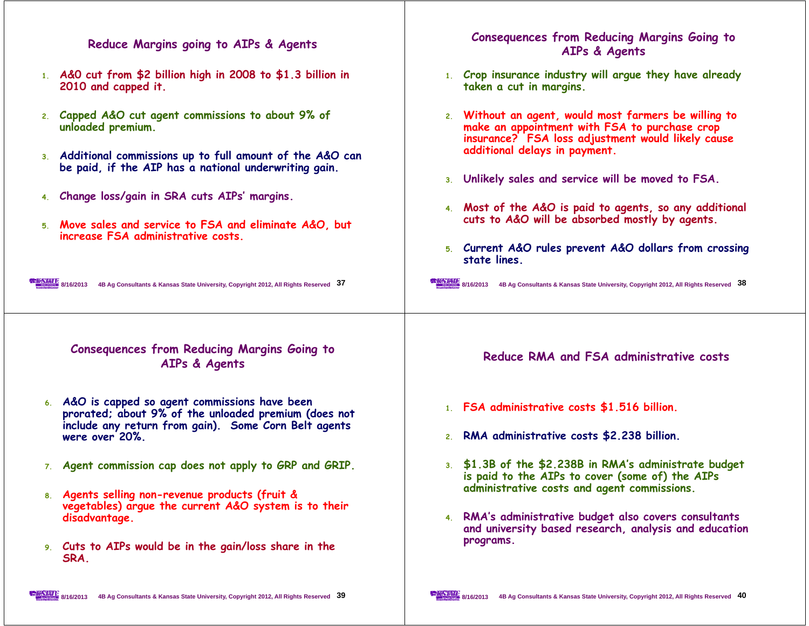| Reduce Margins going to AIPs & Agents                                                                                                                                             | <b>Consequences from Reducing Margins Going to</b><br>AIPs & Agents                                                                                                                          |
|-----------------------------------------------------------------------------------------------------------------------------------------------------------------------------------|----------------------------------------------------------------------------------------------------------------------------------------------------------------------------------------------|
| 1. A&O cut from \$2 billion high in 2008 to \$1.3 billion in<br>2010 and capped it.                                                                                               | 1. Crop insurance industry will argue they have already<br>taken a cut in margins.                                                                                                           |
| 2. Capped A&O cut agent commissions to about 9% of<br>unloaded premium.<br>3. Additional commissions up to full amount of the A&O can                                             | 2. Without an agent, would most farmers be willing to<br>make an appointment with FSA to purchase crop<br>insurance? FSA loss adjustment would likely cause<br>additional delays in payment. |
| be paid, if the AIP has a national underwriting gain.                                                                                                                             | 3. Unlikely sales and service will be moved to FSA.                                                                                                                                          |
| 4. Change loss/gain in SRA cuts AIPs' margins.                                                                                                                                    |                                                                                                                                                                                              |
| 5. Move sales and service to FSA and eliminate A&O, but<br>increase FSA administrative costs.                                                                                     | 4. Most of the A&O is paid to agents, so any additional<br>cuts to A&O will be absorbed mostly by agents.                                                                                    |
|                                                                                                                                                                                   | 5. Current A&O rules prevent A&O dollars from crossing<br>state lines.                                                                                                                       |
| 8/16/2013 4B Ag Consultants & Kansas State University, Copyright 2012, All Rights Reserved 37                                                                                     | 8/16/2013 4B Ag Consultants & Kansas State University, Copyright 2012, All Rights Reserved 38                                                                                                |
| <b>Consequences from Reducing Margins Going to</b><br>AIPs & Agents                                                                                                               | Reduce RMA and FSA administrative costs                                                                                                                                                      |
| 6. A&O is capped so agent commissions have been<br>prorated; about 9% of the unloaded premium (does not<br>include any return from gain). Some Corn Belt agents<br>were over 20%. | 1. FSA administrative costs \$1.516 billion.<br>2. RMA administrative costs \$2.238 billion.                                                                                                 |
| 7. Agent commission cap does not apply to GRP and GRIP.                                                                                                                           | 3. \$1.3B of the \$2.238B in RMA's administrate budget<br>is paid to the AIPs to cover (some of) the AIPs                                                                                    |
| 8. Agents selling non-revenue products (fruit &<br>vegetables) argue the current A&O system is to their<br>disadvantage.                                                          | administrative costs and agent commissions.<br>4. RMA's administrative budget also covers consultants                                                                                        |
| 9. Cuts to AIPs would be in the gain/loss share in the<br>SRA.                                                                                                                    | and university based research, analysis and education<br>programs.                                                                                                                           |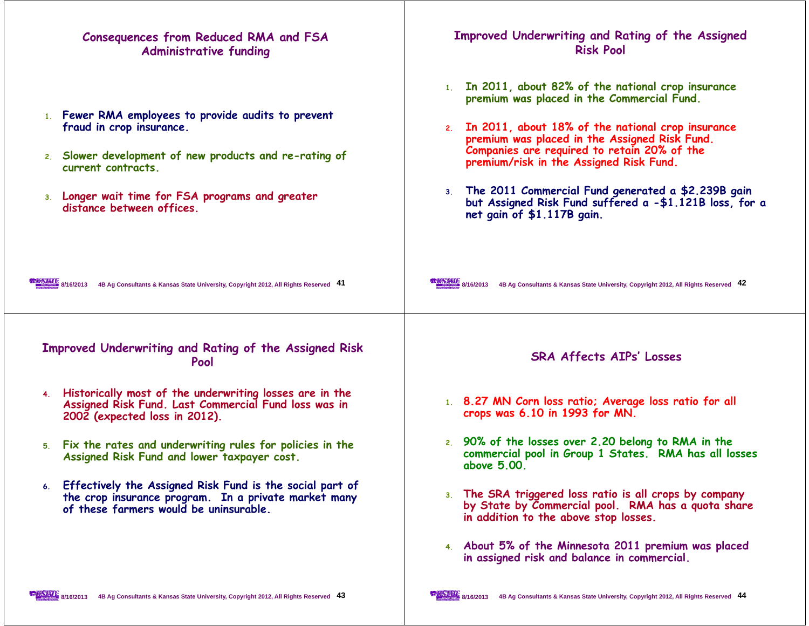| Consequences from Reduced RMA and FSA<br><b>Administrative funding</b>                                                                                                                                                                           | Improved Underwriting and Rating of the Assigned<br><b>Risk Pool</b>                                                                                                                                                                                                                                                                                                                                                                                    |
|--------------------------------------------------------------------------------------------------------------------------------------------------------------------------------------------------------------------------------------------------|---------------------------------------------------------------------------------------------------------------------------------------------------------------------------------------------------------------------------------------------------------------------------------------------------------------------------------------------------------------------------------------------------------------------------------------------------------|
| 1. Fewer RMA employees to provide audits to prevent<br>fraud in crop insurance.<br>2. Slower development of new products and re-rating of<br>current contracts.<br>3. Longer wait time for FSA programs and greater<br>distance between offices. | 1. In 2011, about 82% of the national crop insurance<br>premium was placed in the Commercial Fund.<br>2. In 2011, about 18% of the national crop insurance<br>premium was placed in the Assigned Risk Fund.<br>Companies are required to retain 20% of the<br>premium/risk in the Assigned Risk Fund.<br>3. The 2011 Commercial Fund generated a \$2.239B gain<br>but Assigned Risk Fund suffered a -\$1.121B loss, for a<br>net gain of \$1.117B gain. |
| 8/16/2013 4B Ag Consultants & Kansas State University, Copyright 2012, All Rights Reserved 41                                                                                                                                                    | 8/16/2013 4B Ag Consultants & Kansas State University, Copyright 2012, All Rights Reserved 42                                                                                                                                                                                                                                                                                                                                                           |
| Improved Underwriting and Rating of the Assigned Risk<br>Pool                                                                                                                                                                                    | <b>SRA Affects AIPs' Losses</b>                                                                                                                                                                                                                                                                                                                                                                                                                         |
| 4. Historically most of the underwriting losses are in the<br>Assigned Risk Fund. Last Commercial Fund loss was in<br>2002 (expected loss in 2012).                                                                                              | 1. 8.27 MN Corn loss ratio; Average loss ratio for all<br>crops was 6.10 in 1993 for MN.                                                                                                                                                                                                                                                                                                                                                                |
| 5. Fix the rates and underwriting rules for policies in the<br>Assigned Risk Fund and lower taxpayer cost.                                                                                                                                       | 2. 90% of the losses over 2.20 belong to RMA in the<br>commercial pool in Group 1 States. RMA has all losses<br>above 5.00.                                                                                                                                                                                                                                                                                                                             |
| 6. Effectively the Assigned Risk Fund is the social part of<br>the crop insurance program. In a private market many<br>of these farmers would be uninsurable.                                                                                    | 3. The SRA triggered loss ratio is all crops by company<br>by State by Commercial pool. RMA has a quota share<br>in addition to the above stop losses.                                                                                                                                                                                                                                                                                                  |
|                                                                                                                                                                                                                                                  | 4. About 5% of the Minnesota 2011 premium was placed<br>in assigned risk and balance in commercial.                                                                                                                                                                                                                                                                                                                                                     |

 $\mathbf{I}$